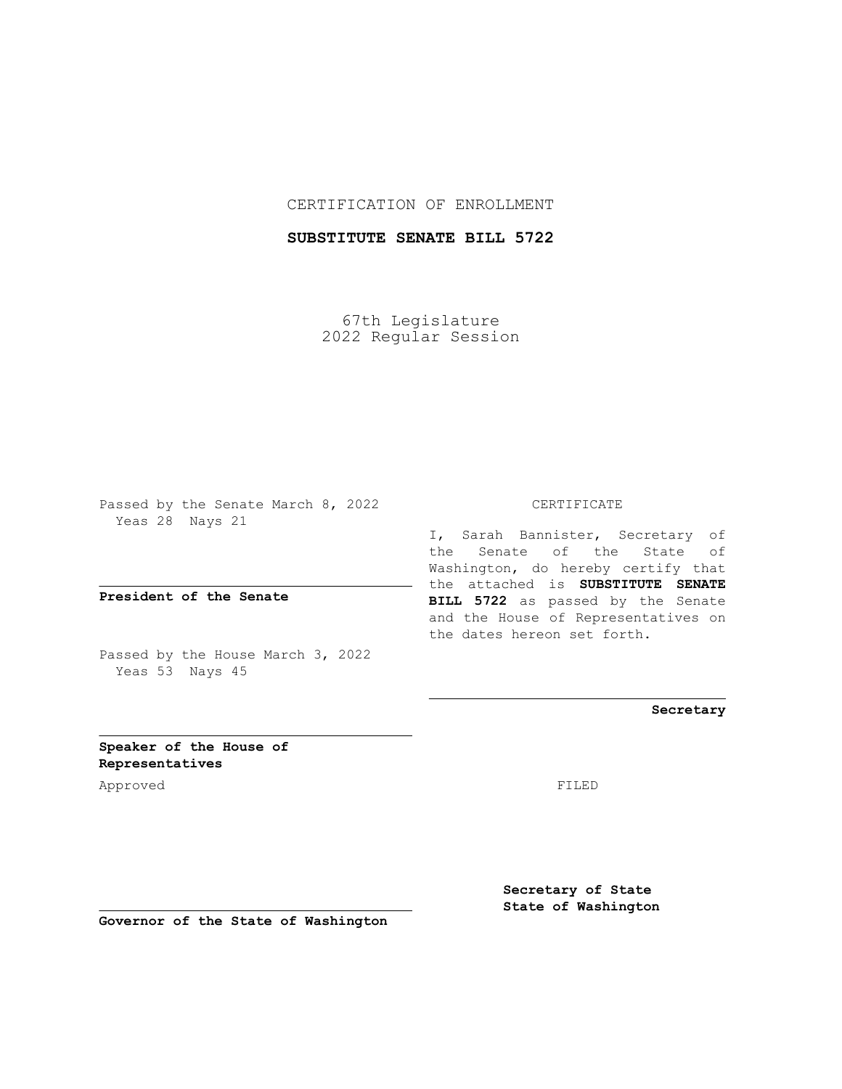## CERTIFICATION OF ENROLLMENT

## **SUBSTITUTE SENATE BILL 5722**

67th Legislature 2022 Regular Session

Passed by the Senate March 8, 2022 Yeas 28 Nays 21

**President of the Senate**

Passed by the House March 3, 2022 Yeas 53 Nays 45

CERTIFICATE

I, Sarah Bannister, Secretary of the Senate of the State of Washington, do hereby certify that the attached is **SUBSTITUTE SENATE BILL 5722** as passed by the Senate and the House of Representatives on the dates hereon set forth.

**Secretary**

**Speaker of the House of Representatives**

Approved FILED

**Secretary of State State of Washington**

**Governor of the State of Washington**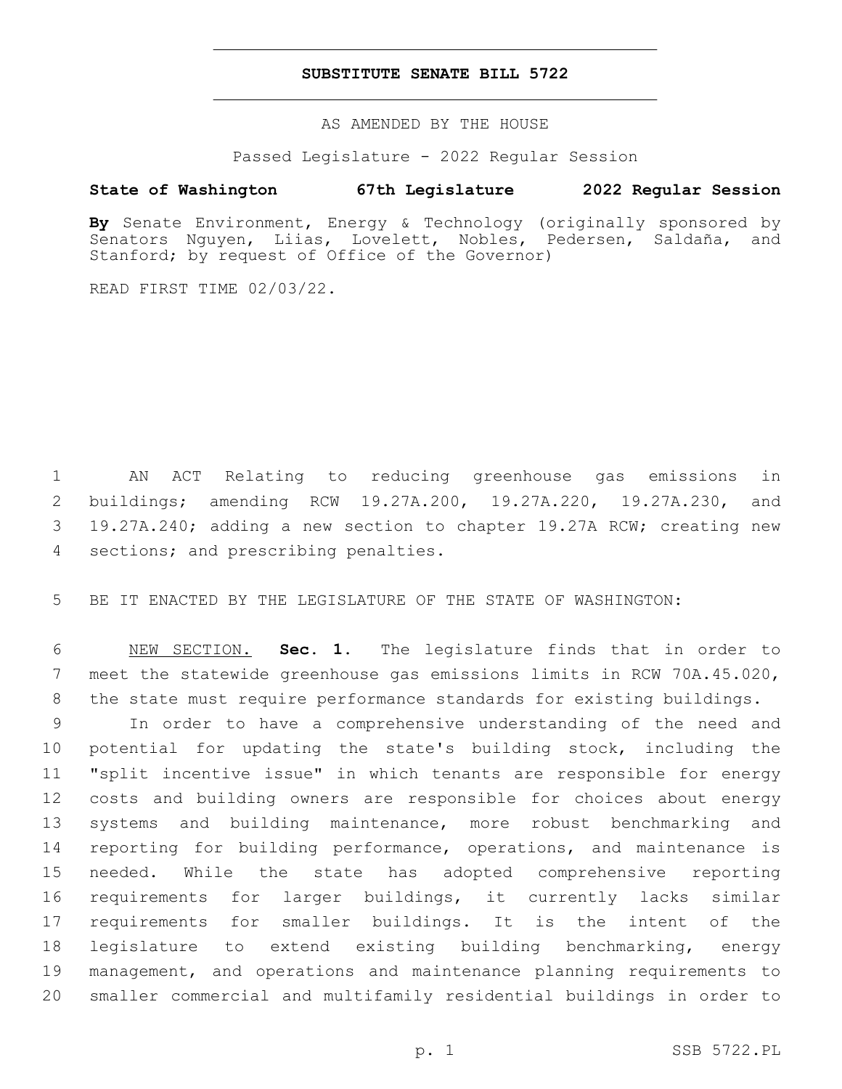## **SUBSTITUTE SENATE BILL 5722**

AS AMENDED BY THE HOUSE

Passed Legislature - 2022 Regular Session

## **State of Washington 67th Legislature 2022 Regular Session**

**By** Senate Environment, Energy & Technology (originally sponsored by Senators Nguyen, Liias, Lovelett, Nobles, Pedersen, Saldaña, and Stanford; by request of Office of the Governor)

READ FIRST TIME 02/03/22.

 AN ACT Relating to reducing greenhouse gas emissions in buildings; amending RCW 19.27A.200, 19.27A.220, 19.27A.230, and 19.27A.240; adding a new section to chapter 19.27A RCW; creating new 4 sections; and prescribing penalties.

BE IT ENACTED BY THE LEGISLATURE OF THE STATE OF WASHINGTON:

 NEW SECTION. **Sec. 1.** The legislature finds that in order to meet the statewide greenhouse gas emissions limits in RCW 70A.45.020, the state must require performance standards for existing buildings.

 In order to have a comprehensive understanding of the need and potential for updating the state's building stock, including the "split incentive issue" in which tenants are responsible for energy costs and building owners are responsible for choices about energy systems and building maintenance, more robust benchmarking and reporting for building performance, operations, and maintenance is needed. While the state has adopted comprehensive reporting requirements for larger buildings, it currently lacks similar requirements for smaller buildings. It is the intent of the legislature to extend existing building benchmarking, energy management, and operations and maintenance planning requirements to smaller commercial and multifamily residential buildings in order to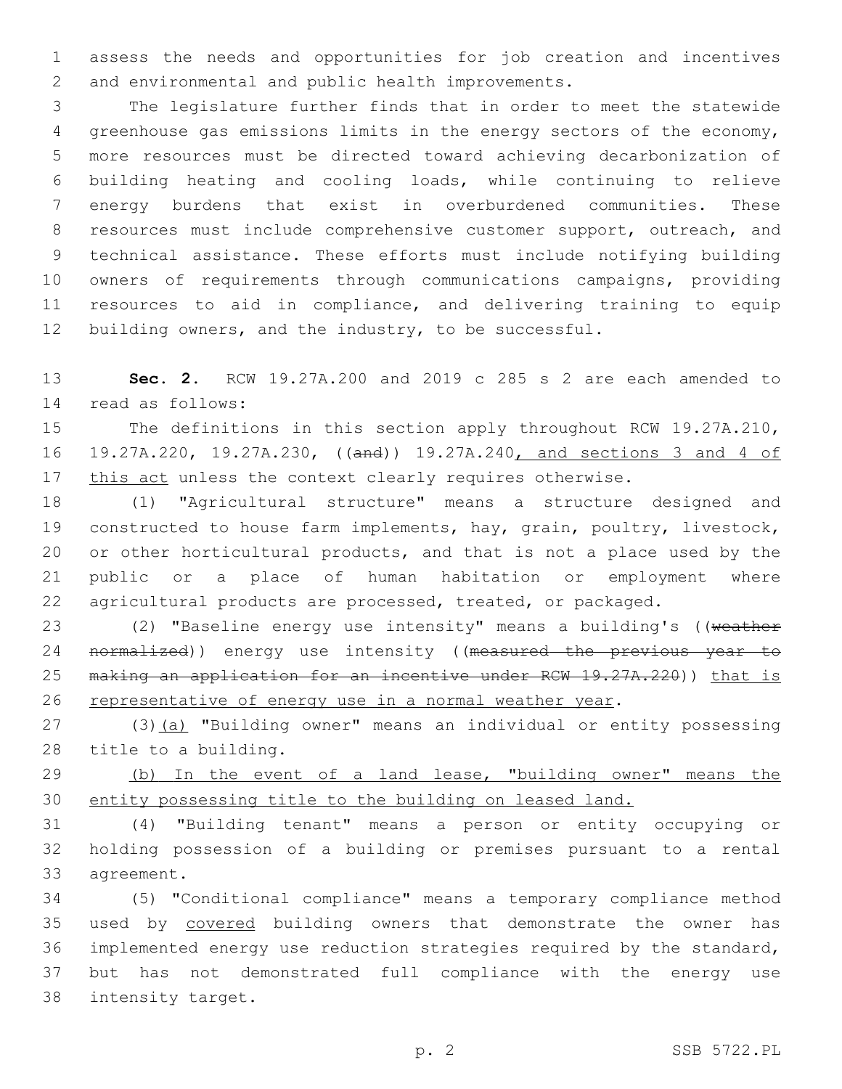assess the needs and opportunities for job creation and incentives 2 and environmental and public health improvements.

 The legislature further finds that in order to meet the statewide greenhouse gas emissions limits in the energy sectors of the economy, more resources must be directed toward achieving decarbonization of building heating and cooling loads, while continuing to relieve energy burdens that exist in overburdened communities. These 8 resources must include comprehensive customer support, outreach, and technical assistance. These efforts must include notifying building owners of requirements through communications campaigns, providing resources to aid in compliance, and delivering training to equip 12 building owners, and the industry, to be successful.

 **Sec. 2.** RCW 19.27A.200 and 2019 c 285 s 2 are each amended to read as follows:14

 The definitions in this section apply throughout RCW 19.27A.210, 19.27A.220, 19.27A.230, ((and)) 19.27A.240, and sections 3 and 4 of 17 this act unless the context clearly requires otherwise.

 (1) "Agricultural structure" means a structure designed and constructed to house farm implements, hay, grain, poultry, livestock, or other horticultural products, and that is not a place used by the public or a place of human habitation or employment where agricultural products are processed, treated, or packaged.

23 (2) "Baseline energy use intensity" means a building's ((weather 24 normalized)) energy use intensity ((measured the previous year to 25 making an application for an incentive under RCW 19.27A.220)) that is representative of energy use in a normal weather year.

27 (3)(a) "Building owner" means an individual or entity possessing 28 title to a building.

29 (b) In the event of a land lease, "building owner" means the entity possessing title to the building on leased land.

 (4) "Building tenant" means a person or entity occupying or holding possession of a building or premises pursuant to a rental 33 agreement.

 (5) "Conditional compliance" means a temporary compliance method used by covered building owners that demonstrate the owner has implemented energy use reduction strategies required by the standard, but has not demonstrated full compliance with the energy use 38 intensity target.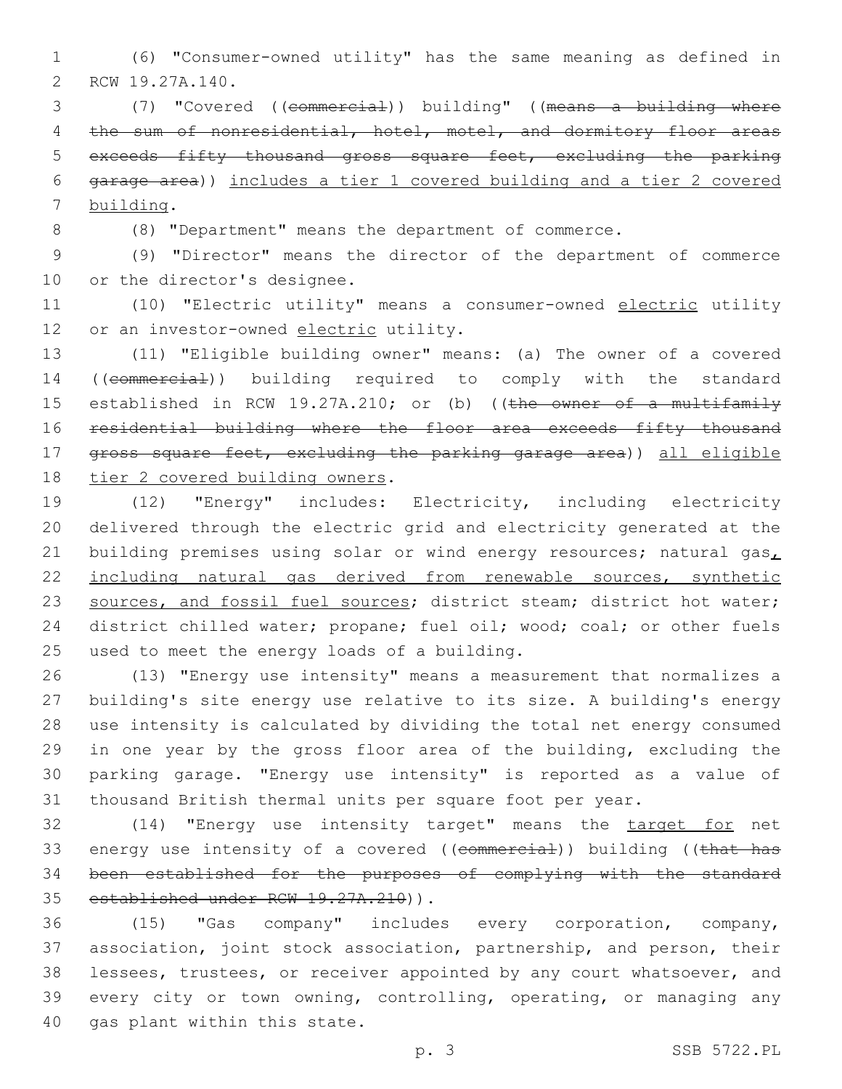(6) "Consumer-owned utility" has the same meaning as defined in 2 RCW 19.27A.140.

 (7) "Covered ((commercial)) building" ((means a building where 4 the sum of nonresidential, hotel, motel, and dormitory floor areas exceeds fifty thousand gross square feet, excluding the parking garage area)) includes a tier 1 covered building and a tier 2 covered 7 building.

(8) "Department" means the department of commerce.

 (9) "Director" means the director of the department of commerce 10 or the director's designee.

 (10) "Electric utility" means a consumer-owned electric utility 12 or an investor-owned electric utility.

 (11) "Eligible building owner" means: (a) The owner of a covered ((commercial)) building required to comply with the standard 15 established in RCW 19.27A.210; or (b) ((the owner of a multifamily residential building where the floor area exceeds fifty thousand gross square feet, excluding the parking garage area)) all eligible 18 tier 2 covered building owners.

 (12) "Energy" includes: Electricity, including electricity delivered through the electric grid and electricity generated at the 21 building premises using solar or wind energy resources; natural gas $_L$  including natural gas derived from renewable sources, synthetic 23 sources, and fossil fuel sources; district steam; district hot water; 24 district chilled water; propane; fuel oil; wood; coal; or other fuels 25 used to meet the energy loads of a building.

 (13) "Energy use intensity" means a measurement that normalizes a building's site energy use relative to its size. A building's energy use intensity is calculated by dividing the total net energy consumed in one year by the gross floor area of the building, excluding the parking garage. "Energy use intensity" is reported as a value of thousand British thermal units per square foot per year.

 (14) "Energy use intensity target" means the target for net 33 energy use intensity of a covered ((commercial)) building ((that has been established for the purposes of complying with the standard 35 established under RCW 19.27A.210)).

 (15) "Gas company" includes every corporation, company, association, joint stock association, partnership, and person, their lessees, trustees, or receiver appointed by any court whatsoever, and every city or town owning, controlling, operating, or managing any 40 gas plant within this state.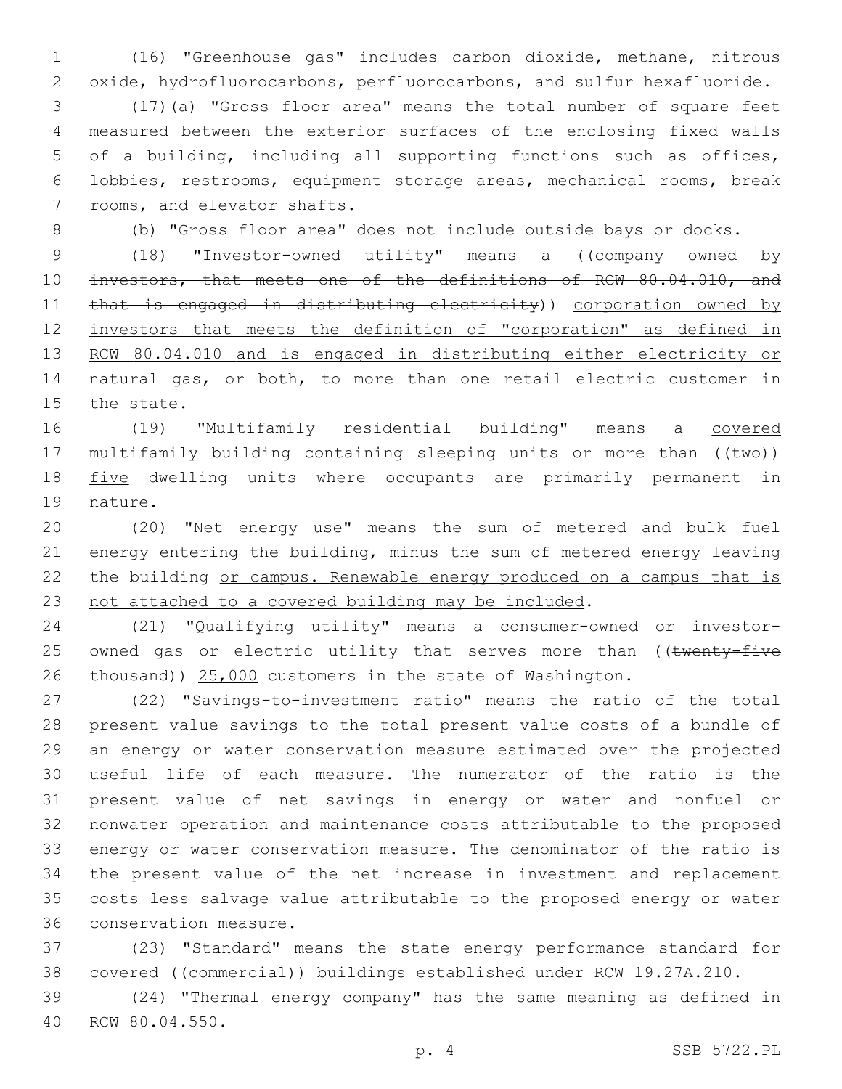1 (16) "Greenhouse gas" includes carbon dioxide, methane, nitrous 2 oxide, hydrofluorocarbons, perfluorocarbons, and sulfur hexafluoride.

 (17)(a) "Gross floor area" means the total number of square feet measured between the exterior surfaces of the enclosing fixed walls of a building, including all supporting functions such as offices, lobbies, restrooms, equipment storage areas, mechanical rooms, break 7 rooms, and elevator shafts.

8 (b) "Gross floor area" does not include outside bays or docks.

9 (18) "Investor-owned utility" means a ((company owned by 10 investors, that meets one of the definitions of RCW 80.04.010, and 11 that is engaged in distributing electricity)) corporation owned by 12 investors that meets the definition of "corporation" as defined in 13 RCW 80.04.010 and is engaged in distributing either electricity or 14 natural gas, or both, to more than one retail electric customer in 15 the state.

16 (19) "Multifamily residential building" means a covered 17 multifamily building containing sleeping units or more than ((two)) 18 five dwelling units where occupants are primarily permanent in 19 nature.

 (20) "Net energy use" means the sum of metered and bulk fuel energy entering the building, minus the sum of metered energy leaving 22 the building or campus. Renewable energy produced on a campus that is not attached to a covered building may be included.

24 (21) "Qualifying utility" means a consumer-owned or investor-25 owned gas or electric utility that serves more than ((twenty-five 26 thousand)) 25,000 customers in the state of Washington.

 (22) "Savings-to-investment ratio" means the ratio of the total present value savings to the total present value costs of a bundle of an energy or water conservation measure estimated over the projected useful life of each measure. The numerator of the ratio is the present value of net savings in energy or water and nonfuel or nonwater operation and maintenance costs attributable to the proposed energy or water conservation measure. The denominator of the ratio is the present value of the net increase in investment and replacement costs less salvage value attributable to the proposed energy or water 36 conservation measure.

37 (23) "Standard" means the state energy performance standard for 38 covered ((commercial)) buildings established under RCW 19.27A.210.

39 (24) "Thermal energy company" has the same meaning as defined in 40 RCW 80.04.550.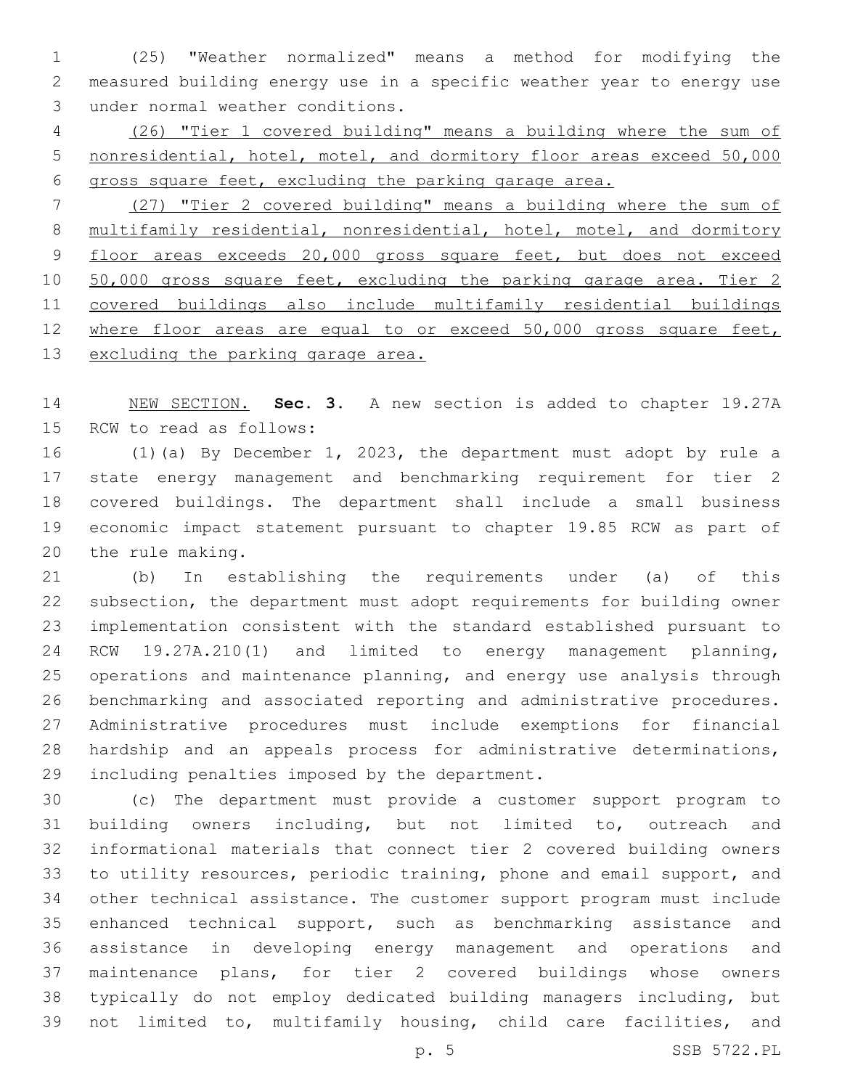(25) "Weather normalized" means a method for modifying the measured building energy use in a specific weather year to energy use 3 under normal weather conditions.

 (26) "Tier 1 covered building" means a building where the sum of nonresidential, hotel, motel, and dormitory floor areas exceed 50,000 gross square feet, excluding the parking garage area.

 (27) "Tier 2 covered building" means a building where the sum of 8 multifamily residential, nonresidential, hotel, motel, and dormitory 9 floor areas exceeds 20,000 gross square feet, but does not exceed 10 50,000 gross square feet, excluding the parking garage area. Tier 2 covered buildings also include multifamily residential buildings 12 where floor areas are equal to or exceed 50,000 gross square feet, 13 excluding the parking garage area.

 NEW SECTION. **Sec. 3.** A new section is added to chapter 19.27A 15 RCW to read as follows:

 (1)(a) By December 1, 2023, the department must adopt by rule a state energy management and benchmarking requirement for tier 2 covered buildings. The department shall include a small business economic impact statement pursuant to chapter 19.85 RCW as part of 20 the rule making.

 (b) In establishing the requirements under (a) of this subsection, the department must adopt requirements for building owner implementation consistent with the standard established pursuant to RCW 19.27A.210(1) and limited to energy management planning, operations and maintenance planning, and energy use analysis through benchmarking and associated reporting and administrative procedures. Administrative procedures must include exemptions for financial hardship and an appeals process for administrative determinations, 29 including penalties imposed by the department.

 (c) The department must provide a customer support program to building owners including, but not limited to, outreach and informational materials that connect tier 2 covered building owners to utility resources, periodic training, phone and email support, and other technical assistance. The customer support program must include enhanced technical support, such as benchmarking assistance and assistance in developing energy management and operations and maintenance plans, for tier 2 covered buildings whose owners typically do not employ dedicated building managers including, but not limited to, multifamily housing, child care facilities, and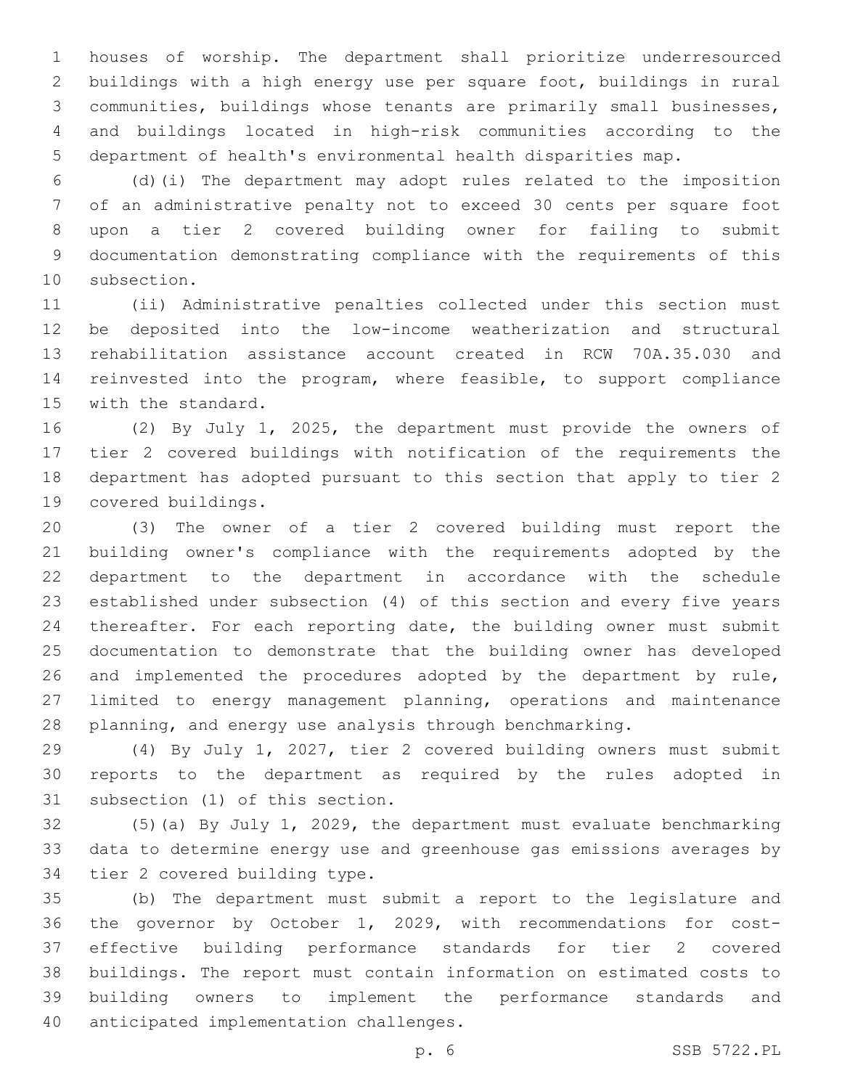houses of worship. The department shall prioritize underresourced buildings with a high energy use per square foot, buildings in rural communities, buildings whose tenants are primarily small businesses, and buildings located in high-risk communities according to the department of health's environmental health disparities map.

 (d)(i) The department may adopt rules related to the imposition of an administrative penalty not to exceed 30 cents per square foot upon a tier 2 covered building owner for failing to submit documentation demonstrating compliance with the requirements of this 10 subsection.

 (ii) Administrative penalties collected under this section must be deposited into the low-income weatherization and structural rehabilitation assistance account created in RCW 70A.35.030 and reinvested into the program, where feasible, to support compliance 15 with the standard.

 (2) By July 1, 2025, the department must provide the owners of tier 2 covered buildings with notification of the requirements the department has adopted pursuant to this section that apply to tier 2 19 covered buildings.

 (3) The owner of a tier 2 covered building must report the building owner's compliance with the requirements adopted by the department to the department in accordance with the schedule established under subsection (4) of this section and every five years thereafter. For each reporting date, the building owner must submit documentation to demonstrate that the building owner has developed and implemented the procedures adopted by the department by rule, limited to energy management planning, operations and maintenance planning, and energy use analysis through benchmarking.

 (4) By July 1, 2027, tier 2 covered building owners must submit reports to the department as required by the rules adopted in 31 subsection (1) of this section.

 (5)(a) By July 1, 2029, the department must evaluate benchmarking data to determine energy use and greenhouse gas emissions averages by 34 tier 2 covered building type.

 (b) The department must submit a report to the legislature and the governor by October 1, 2029, with recommendations for cost- effective building performance standards for tier 2 covered buildings. The report must contain information on estimated costs to building owners to implement the performance standards and 40 anticipated implementation challenges.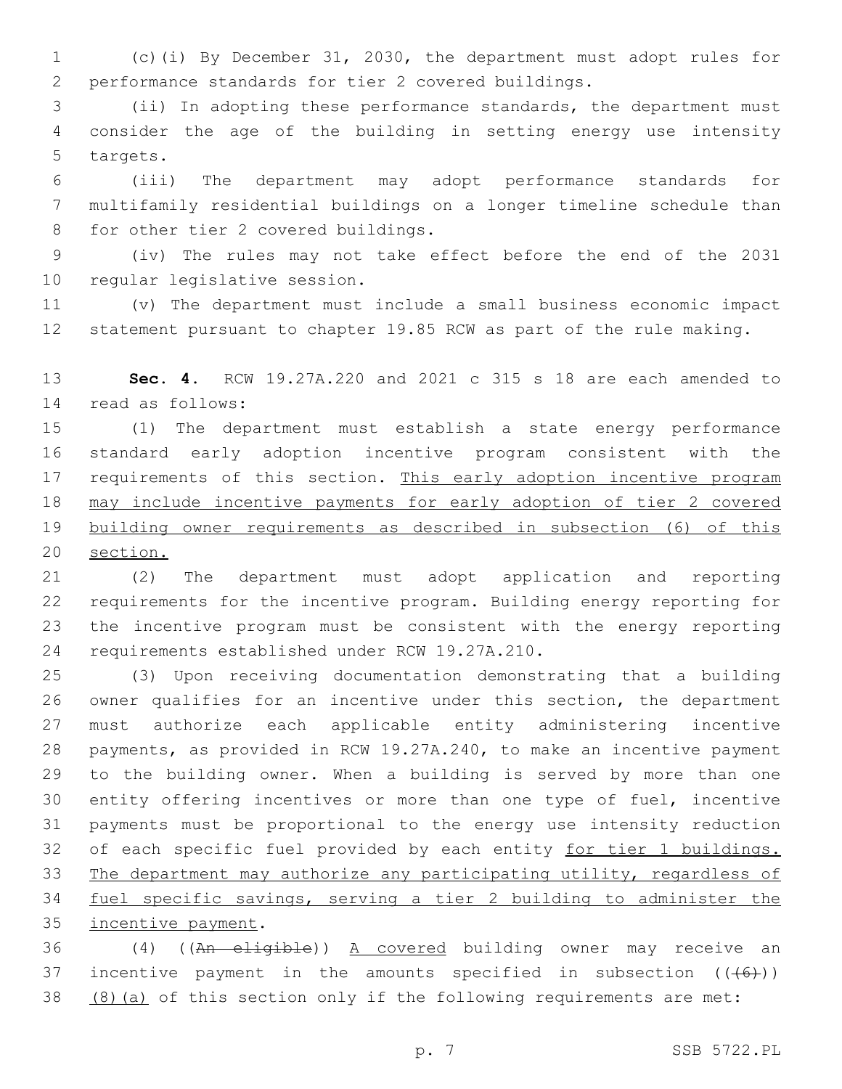(c)(i) By December 31, 2030, the department must adopt rules for performance standards for tier 2 covered buildings.

 (ii) In adopting these performance standards, the department must consider the age of the building in setting energy use intensity 5 targets.

 (iii) The department may adopt performance standards for multifamily residential buildings on a longer timeline schedule than 8 for other tier 2 covered buildings.

 (iv) The rules may not take effect before the end of the 2031 10 regular legislative session.

 (v) The department must include a small business economic impact statement pursuant to chapter 19.85 RCW as part of the rule making.

 **Sec. 4.** RCW 19.27A.220 and 2021 c 315 s 18 are each amended to 14 read as follows:

 (1) The department must establish a state energy performance standard early adoption incentive program consistent with the 17 requirements of this section. This early adoption incentive program may include incentive payments for early adoption of tier 2 covered building owner requirements as described in subsection (6) of this section.

 (2) The department must adopt application and reporting requirements for the incentive program. Building energy reporting for the incentive program must be consistent with the energy reporting 24 requirements established under RCW 19.27A.210.

 (3) Upon receiving documentation demonstrating that a building owner qualifies for an incentive under this section, the department must authorize each applicable entity administering incentive payments, as provided in RCW 19.27A.240, to make an incentive payment to the building owner. When a building is served by more than one entity offering incentives or more than one type of fuel, incentive payments must be proportional to the energy use intensity reduction 32 of each specific fuel provided by each entity for tier 1 buildings. The department may authorize any participating utility, regardless of fuel specific savings, serving a tier 2 building to administer the 35 incentive payment.

 (4) ((An eligible)) A covered building owner may receive an 37 incentive payment in the amounts specified in subsection  $((+6+))$ (8)(a) of this section only if the following requirements are met: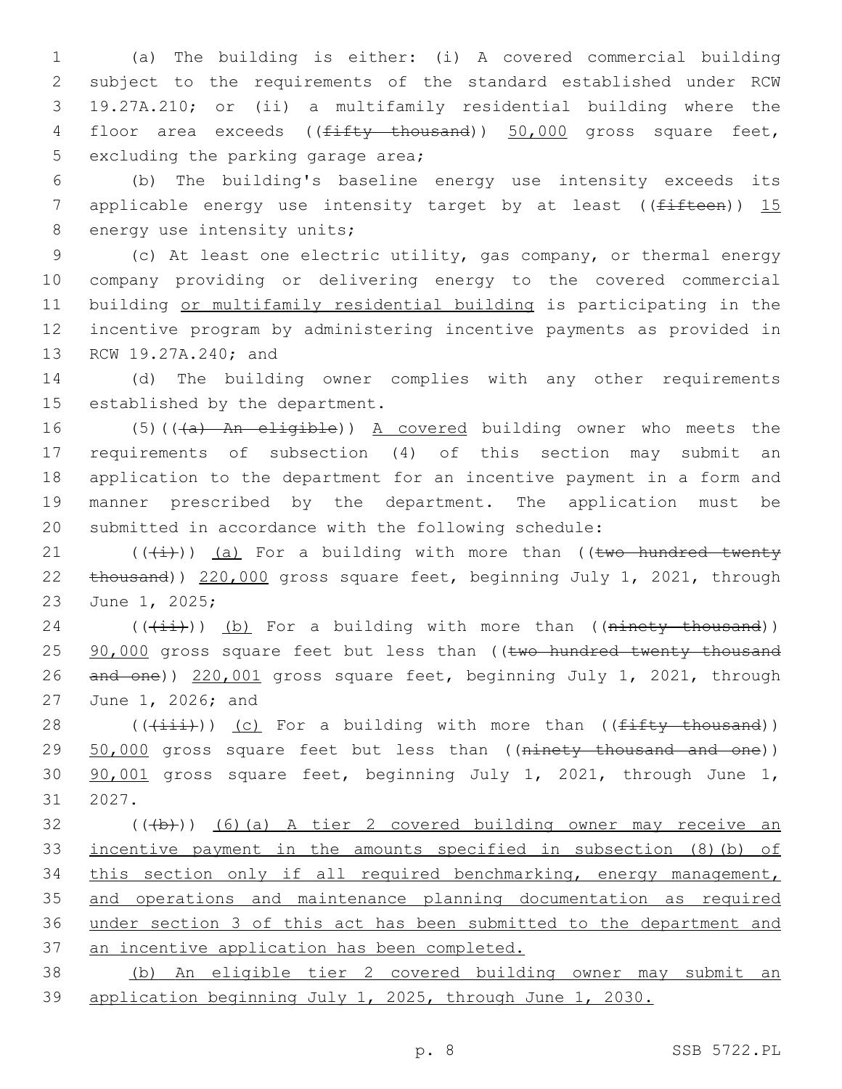(a) The building is either: (i) A covered commercial building subject to the requirements of the standard established under RCW 19.27A.210; or (ii) a multifamily residential building where the 4 floor area exceeds ((<del>fifty thousand</del>)) 50,000 gross square feet, 5 excluding the parking garage area;

 (b) The building's baseline energy use intensity exceeds its 7 applicable energy use intensity target by at least ( $(f<sup>if</sup>Heen)$ ) 15 8 energy use intensity units;

 (c) At least one electric utility, gas company, or thermal energy company providing or delivering energy to the covered commercial building or multifamily residential building is participating in the incentive program by administering incentive payments as provided in 13 RCW 19.27A.240; and

 (d) The building owner complies with any other requirements 15 established by the department.

16 (5)(((a) An eligible)) A covered building owner who meets the requirements of subsection (4) of this section may submit an application to the department for an incentive payment in a form and manner prescribed by the department. The application must be submitted in accordance with the following schedule:

21  $((+i+))$  (a) For a building with more than ((two hundred twenty thousand)) 220,000 gross square feet, beginning July 1, 2021, through 23 June 1, 2025;

 (( $(i+i)$ )) (b) For a building with more than ((ninety thousand)) 25 90,000 gross square feet but less than ((two hundred twenty thousand and one)) 220,001 gross square feet, beginning July 1, 2021, through 27 June 1, 2026; and

28  $((\overrightarrow{\text{init}}))$  (c) For a building with more than (( $\overrightarrow{\text{firsty}+$  thousand)) 29 50,000 gross square feet but less than ((ninety thousand and one)) 90,001 gross square feet, beginning July 1, 2021, through June 1, 31 2027.

 (( $\left(\frac{1}{2}+\right)$ ) (6)(a) A tier 2 covered building owner may receive an incentive payment in the amounts specified in subsection (8)(b) of this section only if all required benchmarking, energy management, and operations and maintenance planning documentation as required under section 3 of this act has been submitted to the department and an incentive application has been completed.

 (b) An eligible tier 2 covered building owner may submit an application beginning July 1, 2025, through June 1, 2030.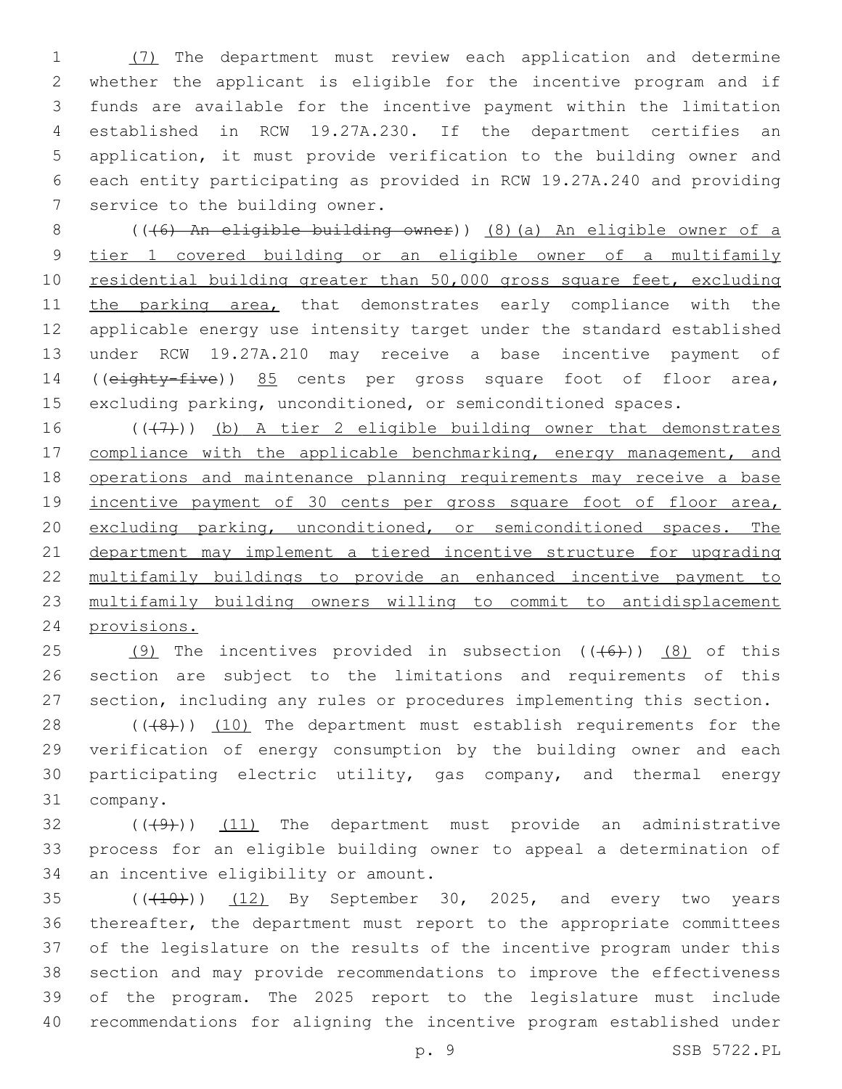(7) The department must review each application and determine whether the applicant is eligible for the incentive program and if funds are available for the incentive payment within the limitation established in RCW 19.27A.230. If the department certifies an application, it must provide verification to the building owner and each entity participating as provided in RCW 19.27A.240 and providing 7 service to the building owner.

 (((6) An eligible building owner)) (8)(a) An eligible owner of a tier 1 covered building or an eligible owner of a multifamily 10 residential building greater than 50,000 gross square feet, excluding 11 the parking area, that demonstrates early compliance with the applicable energy use intensity target under the standard established under RCW 19.27A.210 may receive a base incentive payment of ((eighty-five)) 85 cents per gross square foot of floor area, excluding parking, unconditioned, or semiconditioned spaces.

 $((+7+))$  (b) A tier 2 eligible building owner that demonstrates 17 compliance with the applicable benchmarking, energy management, and operations and maintenance planning requirements may receive a base 19 incentive payment of 30 cents per gross square foot of floor area, excluding parking, unconditioned, or semiconditioned spaces. The department may implement a tiered incentive structure for upgrading multifamily buildings to provide an enhanced incentive payment to multifamily building owners willing to commit to antidisplacement provisions.

25 (9) The incentives provided in subsection  $((+6+))$  (8) of this section are subject to the limitations and requirements of this section, including any rules or procedures implementing this section.

28 (((48))) (10) The department must establish requirements for the verification of energy consumption by the building owner and each participating electric utility, gas company, and thermal energy 31 company.

 $(1)$  ( $(4)$ )) (11) The department must provide an administrative process for an eligible building owner to appeal a determination of 34 an incentive eligibility or amount.

 $(1)$   $(12)$  By September 30, 2025, and every two years thereafter, the department must report to the appropriate committees of the legislature on the results of the incentive program under this section and may provide recommendations to improve the effectiveness of the program. The 2025 report to the legislature must include recommendations for aligning the incentive program established under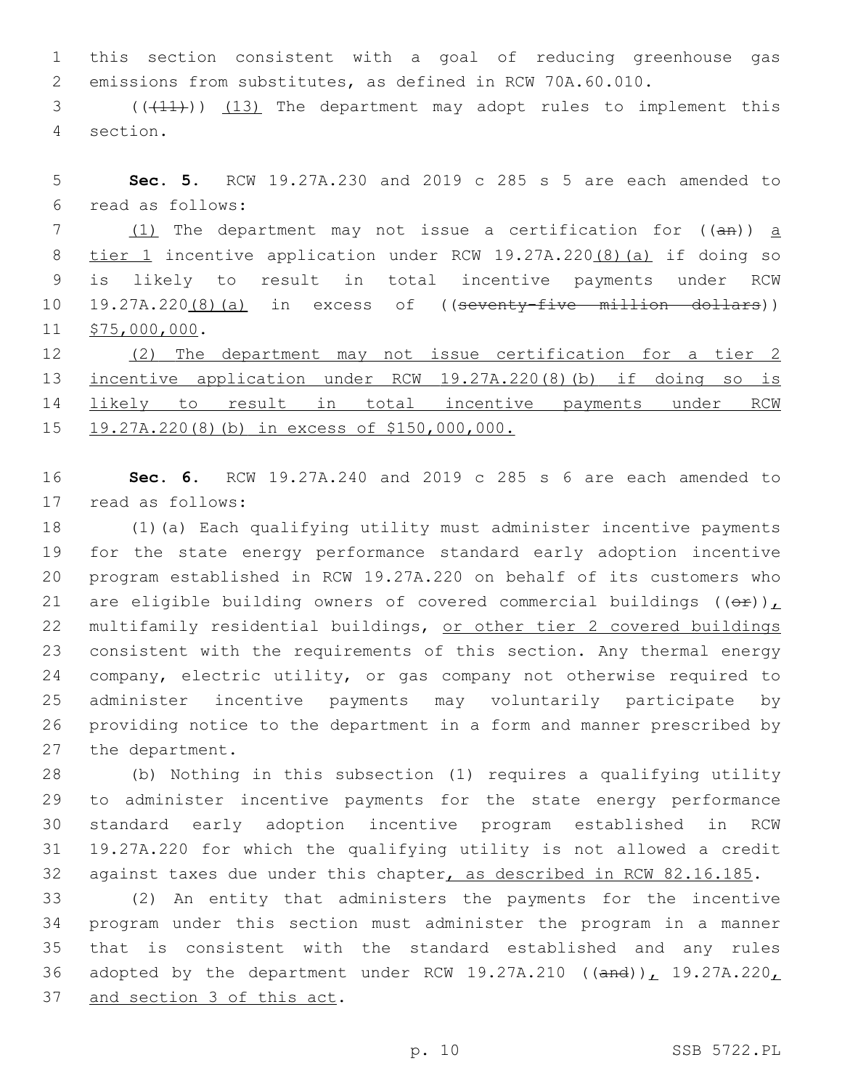this section consistent with a goal of reducing greenhouse gas emissions from substitutes, as defined in RCW 70A.60.010.

3 (( $(11)$ )) (13) The department may adopt rules to implement this section.4

 **Sec. 5.** RCW 19.27A.230 and 2019 c 285 s 5 are each amended to read as follows:6

 $(1)$  The department may not issue a certification for  $((a + b))$  a tier 1 incentive application under RCW 19.27A.220(8)(a) if doing so is likely to result in total incentive payments under RCW 19.27A.220(8)(a) in excess of ((seventy-five million dollars)) 11 \$75,000,000.

 (2) The department may not issue certification for a tier 2 incentive application under RCW 19.27A.220(8)(b) if doing so is likely to result in total incentive payments under RCW 19.27A.220(8)(b) in excess of \$150,000,000.

 **Sec. 6.** RCW 19.27A.240 and 2019 c 285 s 6 are each amended to 17 read as follows:

 (1)(a) Each qualifying utility must administer incentive payments for the state energy performance standard early adoption incentive program established in RCW 19.27A.220 on behalf of its customers who 21 are eligible building owners of covered commercial buildings  $((\theta \hat{r}))_L$  multifamily residential buildings, or other tier 2 covered buildings consistent with the requirements of this section. Any thermal energy company, electric utility, or gas company not otherwise required to administer incentive payments may voluntarily participate by providing notice to the department in a form and manner prescribed by 27 the department.

 (b) Nothing in this subsection (1) requires a qualifying utility to administer incentive payments for the state energy performance standard early adoption incentive program established in RCW 19.27A.220 for which the qualifying utility is not allowed a credit against taxes due under this chapter, as described in RCW 82.16.185.

 (2) An entity that administers the payments for the incentive program under this section must administer the program in a manner that is consistent with the standard established and any rules 36 adopted by the department under RCW 19.27A.210 (( $\text{and}$ )), 19.27A.220, 37 and section 3 of this act.